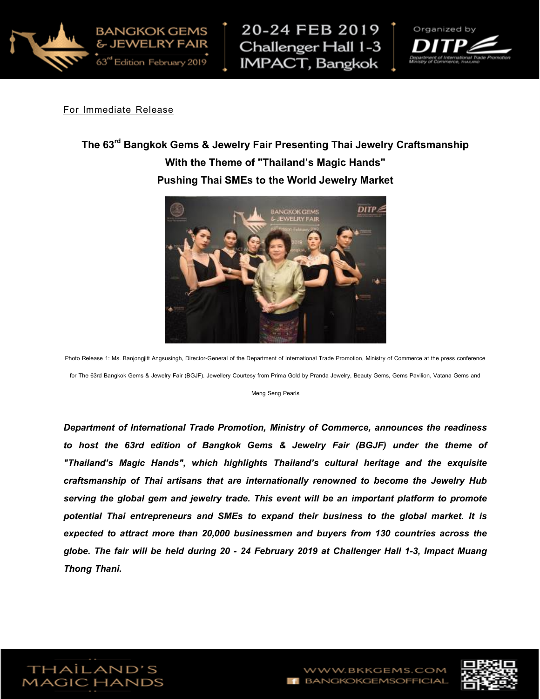





For Immediate Release

## The 63<sup>rd</sup> Bangkok Gems & Jewelry Fair Presenting Thai Jewelry Craftsmanship With the Theme of "Thailand's Magic Hands" Pushing Thai SMEs to the World Jewelry Market



Photo Release 1: Ms. Banjongjitt Angsusingh, Director-General of the Department of International Trade Promotion, Ministry of Commerce at the press conference for The 63rd Bangkok Gems & Jewelry Fair (BGJF). Jewellery Courtesy from Prima Gold by Pranda Jewelry, Beauty Gems, Gems Pavilion, Vatana Gems and

Meng Seng Pearls

Department of International Trade Promotion, Ministry of Commerce, announces the readiness to host the 63rd edition of Bangkok Gems & Jewelry Fair (BGJF) under the theme of "Thailand's Magic Hands", which highlights Thailand's cultural heritage and the exquisite craftsmanship of Thai artisans that are internationally renowned to become the Jewelry Hub serving the global gem and jewelry trade. This event will be an important platform to promote potential Thai entrepreneurs and SMEs to expand their business to the global market. It is expected to attract more than 20,000 businessmen and buyers from 130 countries across the globe. The fair will be held during 20 - 24 February 2019 at Challenger Hall 1-3, Impact Muang Thong Thani.



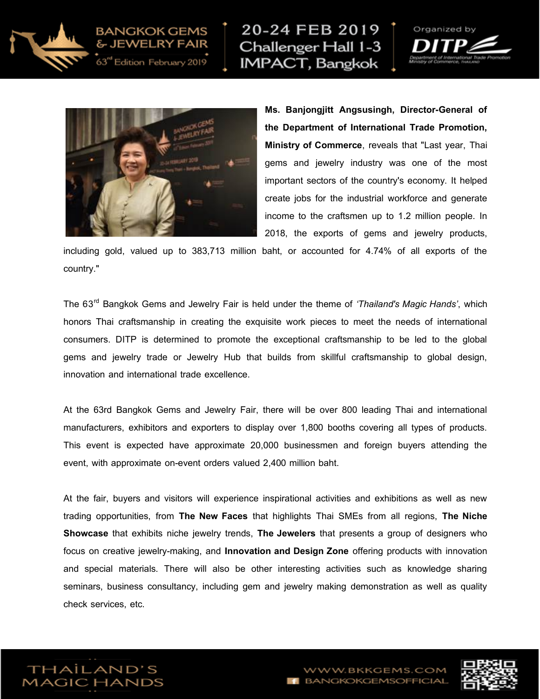

20-24 FEB 2019 Challenger Hall 1-3 **IMPACT, Bangkok** 





63" Edition February 2019

Ms. Banjongjitt Angsusingh, Director-General of the Department of International Trade Promotion, Ministry of Commerce, reveals that "Last year, Thai gems and jewelry industry was one of the most important sectors of the country's economy. It helped create jobs for the industrial workforce and generate income to the craftsmen up to 1.2 million people. In 2018, the exports of gems and jewelry products,

including gold, valued up to 383,713 million baht, or accounted for 4.74% of all exports of the country."

The 63<sup>rd</sup> Bangkok Gems and Jewelry Fair is held under the theme of 'Thailand's Magic Hands', which honors Thai craftsmanship in creating the exquisite work pieces to meet the needs of international consumers. DITP is determined to promote the exceptional craftsmanship to be led to the global gems and jewelry trade or Jewelry Hub that builds from skillful craftsmanship to global design, innovation and international trade excellence.

At the 63rd Bangkok Gems and Jewelry Fair, there will be over 800 leading Thai and international manufacturers, exhibitors and exporters to display over 1,800 booths covering all types of products. This event is expected have approximate 20,000 businessmen and foreign buyers attending the event, with approximate on-event orders valued 2,400 million baht.

At the fair, buyers and visitors will experience inspirational activities and exhibitions as well as new trading opportunities, from The New Faces that highlights Thai SMEs from all regions, The Niche Showcase that exhibits niche jewelry trends, The Jewelers that presents a group of designers who focus on creative jewelry-making, and **Innovation and Design Zone** offering products with innovation and special materials. There will also be other interesting activities such as knowledge sharing seminars, business consultancy, including gem and jewelry making demonstration as well as quality check services, etc.





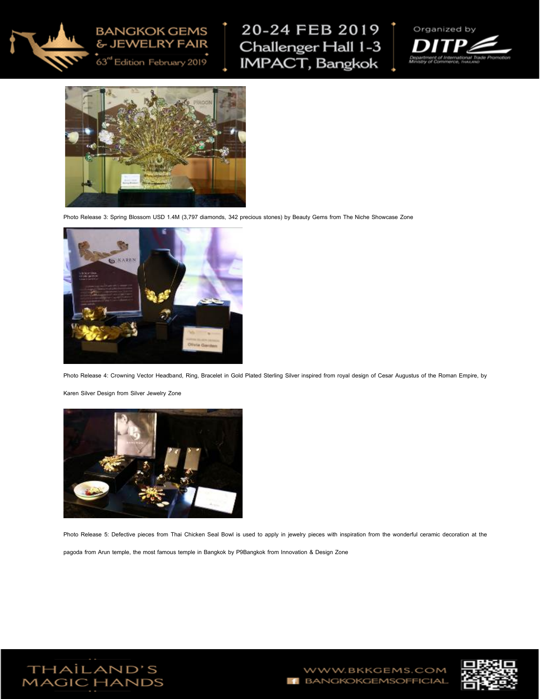

## **BANGKOK GEMS** & JEWELRY FAIR

63rd Edition February 2019

20-24 FEB 2019  $\uparrow$ Challenger Hall 1-3 IMPACT, Bangkok





Photo Release 3: Spring Blossom USD 1.4M (3,797 diamonds, 342 precious stones) by Beauty Gems from The Niche Showcase Zone



Photo Release 4: Crowning Vector Headband, Ring, Bracelet in Gold Plated Sterling Silver inspired from royal design of Cesar Augustus of the Roman Empire, by

Karen Silver Design from Silver Jewelry Zone



Photo Release 5: Defective pieces from Thai Chicken Seal Bowl is used to apply in jewelry pieces with inspiration from the wonderful ceramic decoration at the

pagoda from Arun temple, the most famous temple in Bangkok by P9Bangkok from Innovation & Design Zone



WWW.BKKGEMS.COM **F** BANGKOKGEMSOFFICIAL